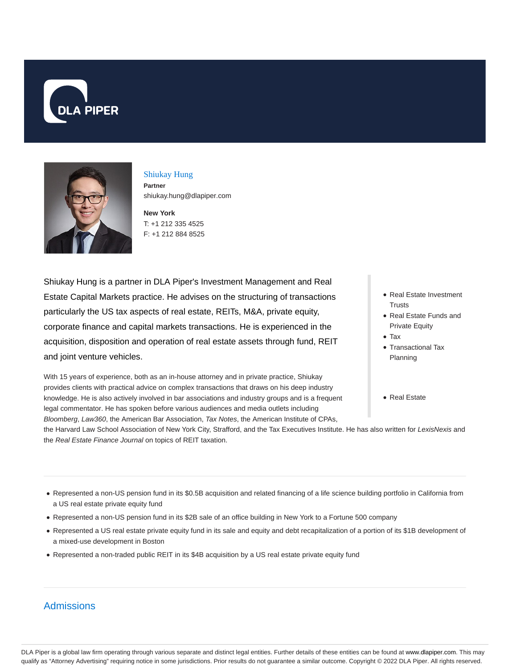



#### Shiukay Hung **Partner** shiukay.hung@dlapiper.com

**New York** T: +1 212 335 4525

F: +1 212 884 8525

Shiukay Hung is a partner in DLA Piper's Investment Management and Real Estate Capital Markets practice. He advises on the structuring of transactions particularly the US tax aspects of real estate, REITs, M&A, private equity, corporate finance and capital markets transactions. He is experienced in the acquisition, disposition and operation of real estate assets through fund, REIT and joint venture vehicles.

With 15 years of experience, both as an in-house attorney and in private practice, Shiukay provides clients with practical advice on complex transactions that draws on his deep industry knowledge. He is also actively involved in bar associations and industry groups and is a frequent legal commentator. He has spoken before various audiences and media outlets including Bloomberg, Law360, the American Bar Association, Tax Notes, the American Institute of CPAs,

- Real Estate Investment **Trusts**
- Real Estate Funds and Private Equity
- Tax
- Transactional Tax Planning
- Real Estate

the Harvard Law School Association of New York City, Strafford, and the Tax Executives Institute. He has also written for LexisNexis and the Real Estate Finance Journal on topics of REIT taxation.

- Represented a non-US pension fund in its \$0.5B acquisition and related financing of a life science building portfolio in California from a US real estate private equity fund
- Represented a non-US pension fund in its \$2B sale of an office building in New York to a Fortune 500 company
- Represented a US real estate private equity fund in its sale and equity and debt recapitalization of a portion of its \$1B development of a mixed-use development in Boston
- Represented a non-traded public REIT in its \$4B acquisition by a US real estate private equity fund

# **Admissions**

DLA Piper is a global law firm operating through various separate and distinct legal entities. Further details of these entities can be found at www.dlapiper.com. This may qualify as "Attorney Advertising" requiring notice in some jurisdictions. Prior results do not guarantee a similar outcome. Copyright © 2022 DLA Piper. All rights reserved.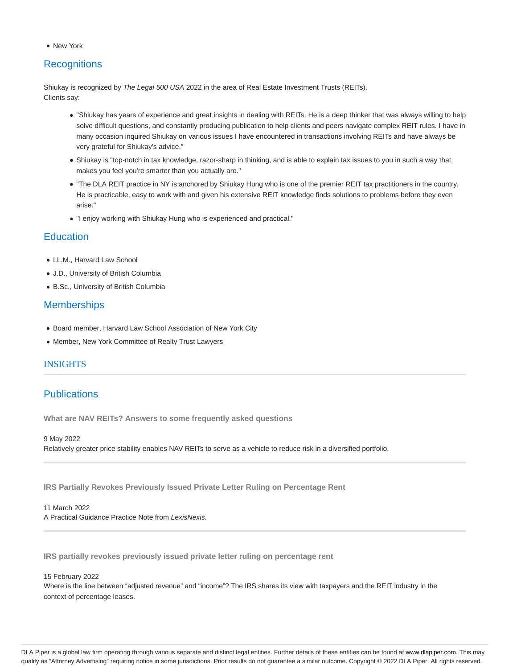New York

# **Recognitions**

Shiukay is recognized by The Legal 500 USA 2022 in the area of Real Estate Investment Trusts (REITs). Clients say:

- "Shiukay has years of experience and great insights in dealing with REITs. He is a deep thinker that was always willing to help solve difficult questions, and constantly producing publication to help clients and peers navigate complex REIT rules. I have in many occasion inquired Shiukay on various issues I have encountered in transactions involving REITs and have always be very grateful for Shiukay's advice."
- Shiukay is "top-notch in tax knowledge, razor-sharp in thinking, and is able to explain tax issues to you in such a way that makes you feel you're smarter than you actually are."
- "The DLA REIT practice in NY is anchored by Shiukay Hung who is one of the premier REIT tax practitioners in the country. He is practicable, easy to work with and given his extensive REIT knowledge finds solutions to problems before they even arise."
- "I enjoy working with Shiukay Hung who is experienced and practical."

### **Education**

- LL.M., Harvard Law School
- J.D., University of British Columbia
- B.Sc., University of British Columbia

## **Memberships**

- Board member, Harvard Law School Association of New York City
- Member, New York Committee of Realty Trust Lawyers

### INSIGHTS

## **Publications**

**What are NAV REITs? Answers to some frequently asked questions**

9 May 2022

Relatively greater price stability enables NAV REITs to serve as a vehicle to reduce risk in a diversified portfolio.

**IRS Partially Revokes Previously Issued Private Letter Ruling on Percentage Rent**

11 March 2022 A Practical Guidance Practice Note from LexisNexis.

**IRS partially revokes previously issued private letter ruling on percentage rent**

#### 15 February 2022

Where is the line between "adjusted revenue" and "income"? The IRS shares its view with taxpayers and the REIT industry in the context of percentage leases.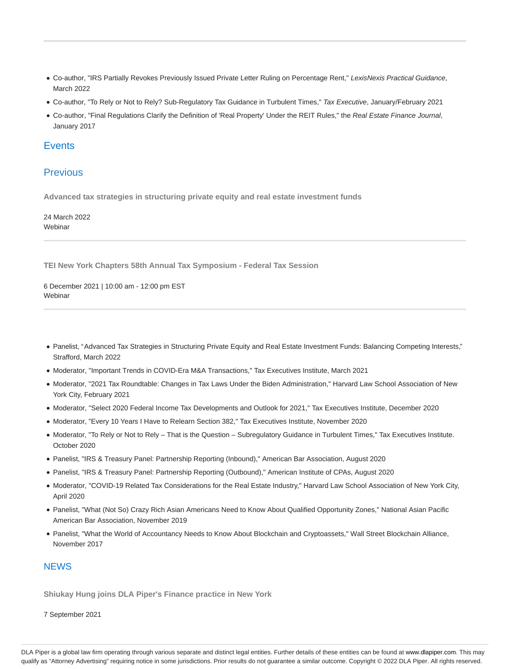- Co-author, "IRS Partially Revokes Previously Issued Private Letter Ruling on Percentage Rent," LexisNexis Practical Guidance, March 2022
- Co-author, "To Rely or Not to Rely? Sub-Regulatory Tax Guidance in Turbulent Times," Tax Executive, January/February 2021
- Co-author, "Final Regulations Clarify the Definition of 'Real Property' Under the REIT Rules," the Real Estate Finance Journal, January 2017

#### **Events**

### Previous

**Advanced tax strategies in structuring private equity and real estate investment funds**

24 March 2022 Webinar

**TEI New York Chapters 58th Annual Tax Symposium - Federal Tax Session**

6 December 2021 | 10:00 am - 12:00 pm EST **Webinar** 

- Panelist, "Advanced Tax Strategies in Structuring Private Equity and Real Estate Investment Funds: Balancing Competing Interests," Strafford, March 2022
- Moderator, "Important Trends in COVID-Era M&A Transactions," Tax Executives Institute, March 2021
- Moderator, "2021 Tax Roundtable: Changes in Tax Laws Under the Biden Administration," Harvard Law School Association of New York City, February 2021
- Moderator, "Select 2020 Federal Income Tax Developments and Outlook for 2021," Tax Executives Institute, December 2020
- Moderator, "Every 10 Years I Have to Relearn Section 382," Tax Executives Institute, November 2020
- Moderator, "To Rely or Not to Rely That is the Question Subregulatory Guidance in Turbulent Times," Tax Executives Institute. October 2020
- Panelist, "IRS & Treasury Panel: Partnership Reporting (Inbound)," American Bar Association, August 2020
- Panelist, "IRS & Treasury Panel: Partnership Reporting (Outbound)," American Institute of CPAs, August 2020
- Moderator, "COVID-19 Related Tax Considerations for the Real Estate Industry," Harvard Law School Association of New York City, April 2020
- Panelist, "What (Not So) Crazy Rich Asian Americans Need to Know About Qualified Opportunity Zones," National Asian Pacific American Bar Association, November 2019
- Panelist, "What the World of Accountancy Needs to Know About Blockchain and Cryptoassets," Wall Street Blockchain Alliance, November 2017

### **NEWS**

**Shiukay Hung joins DLA Piper's Finance practice in New York**

7 September 2021